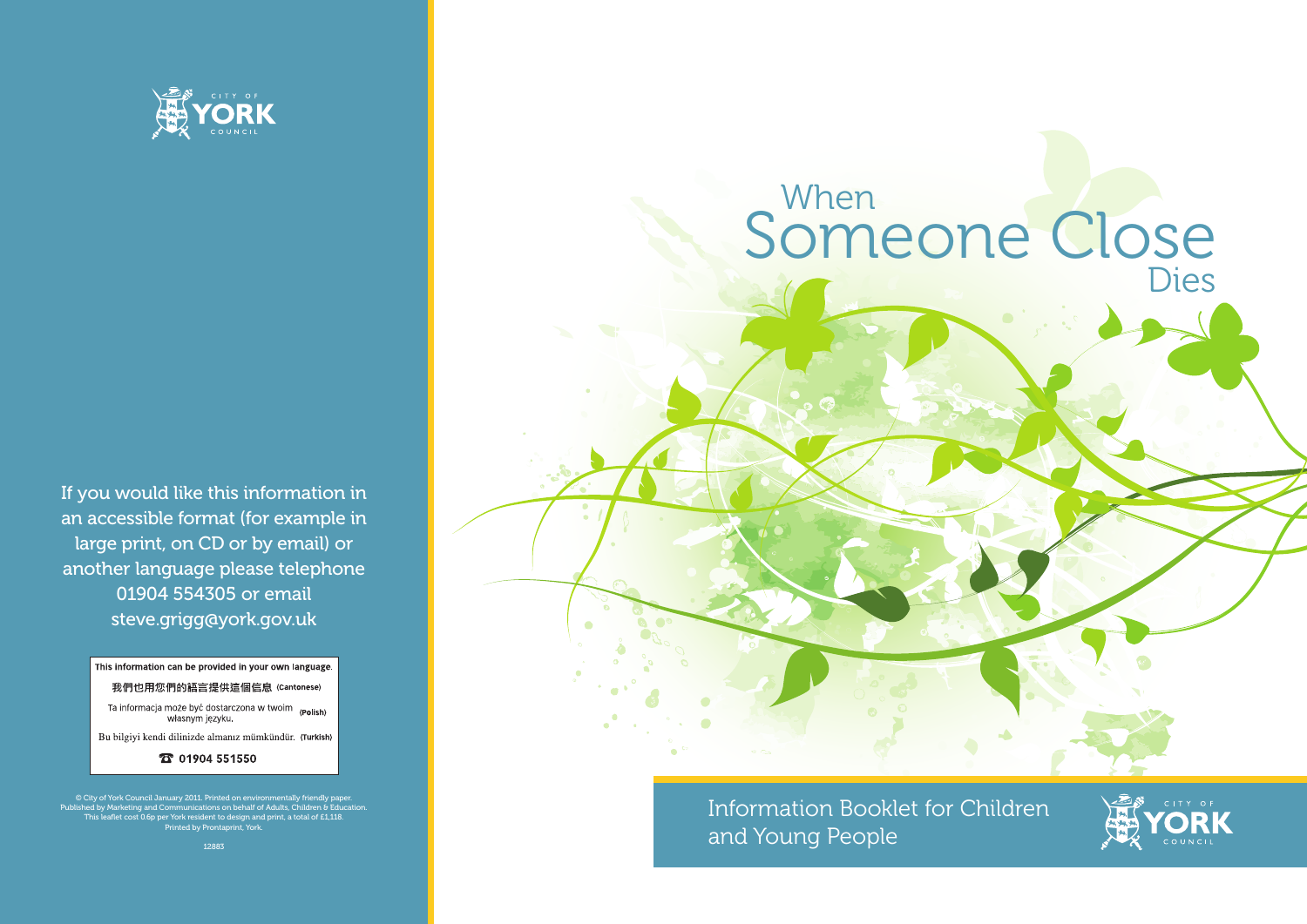

If you would like this information in an accessible format (for example in large print, on CD or by email) or another language please telephone 01904 554305 or email steve.grigg@york.gov.uk

This information can be provided in your own language.

我們也用您們的語言提供這個信息 (Cantonese)

Ta informacja może być dostarczona w twoim (Polish) własnym języku

Bu bilgiyi kendi dilinizde almanız mümkündür. (Turkish)

**T** 01904 551550



© City of York Council January 2011. Printed on environmentally friendly paper. Published by Marketing and Communications on behalf of Adults, Children & Education. This leaflet cost 0.6p per York resident to design and print, a total of £1,118. Printed by Prontaprint, York.

12883





Information Booklet for Children and Young People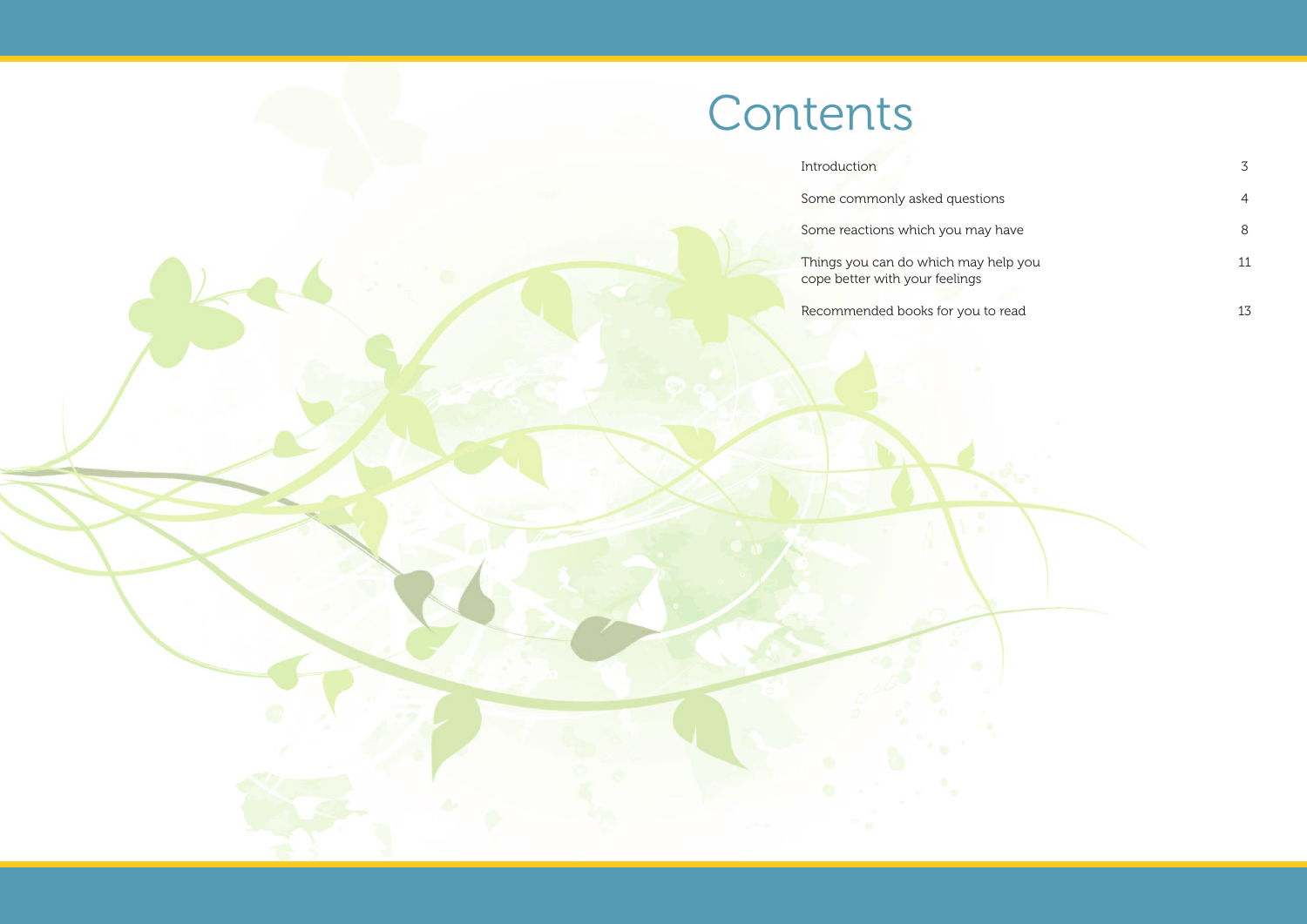| Introduction                                                           |    |
|------------------------------------------------------------------------|----|
| Some commonly asked questions                                          | 4  |
| Some reactions which you may have                                      | 8  |
| Things you can do which may help you<br>cope better with your feelings | 11 |
| Recommended books for you to read                                      |    |



Recommended books for you to

## Contents

Introduction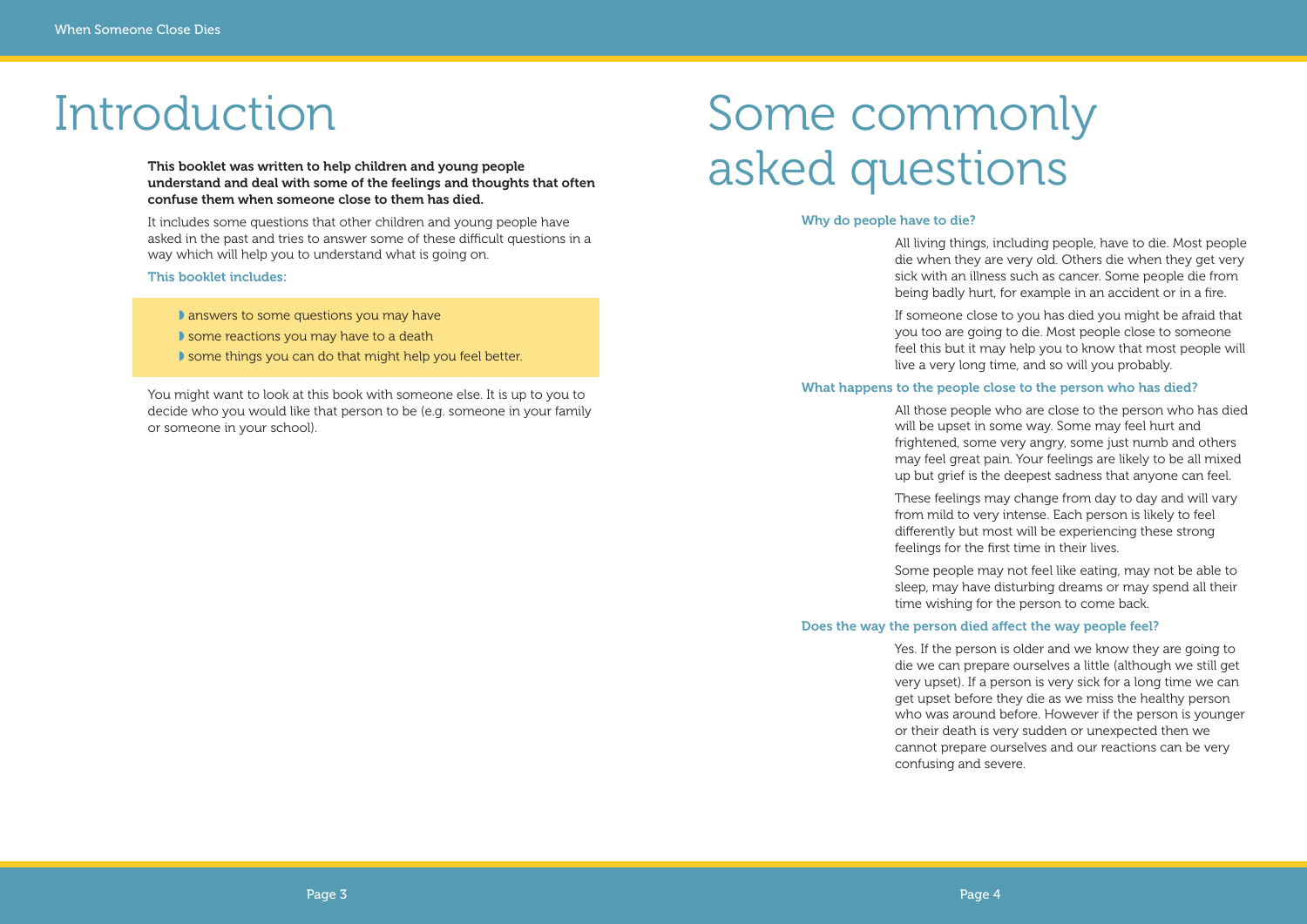#### **Why do people have to die?**

All living things, including people, have to die. Most people die when they are very old. Others die when they get very sick with an illness such as cancer. Some people die from being badly hurt, for example in an accident or in a fire.

If someone close to you has died you might be afraid that you too are going to die. Most people close to someone feel this but it may help you to know that most people will live a very long time, and so will you probably.

#### **What happens to the people close to the person who has died?**

All those people who are close to the person who has died will be upset in some way. Some may feel hurt and frightened, some very angry, some just numb and others may feel great pain. Your feelings are likely to be all mixed up but grief is the deepest sadness that anyone can feel.

## Some commonly This booklet was written to help children and young people<br>understand and deal with some of the feelings and thoughts that often  $a$  and  $\mathcal{B}$  and  $\mathcal{B}$  and  $\mathcal{B}$  and  $\mathcal{B}$  and  $\mathcal{B}$  and  $\mathcal{B}$  and  $\mathcal{B}$

These feelings may change from day to day and will vary from mild to very intense. Each person is likely to feel differently but most will be experiencing these strong feelings for the first time in their lives.

Some people may not feel like eating, may not be able to sleep, may have disturbing dreams or may spend all their time wishing for the person to come back.

#### **Does the way the person died affect the way people feel?**

Yes. If the person is older and we know they are going to die we can prepare ourselves a little (although we still get very upset). If a person is very sick for a long time we can get upset before they die as we miss the healthy person who was around before. However if the person is younger or their death is very sudden or unexpected then we cannot prepare ourselves and our reactions can be very confusing and severe.

**understand and deal with some of the feelings and thoughts that often confuse them when someone close to them has died.**

It includes some questions that other children and young people have asked in the past and tries to answer some of these difficult questions in a way which will help you to understand what is going on.

#### **This booklet includes:**

◗ answers to some questions you may have

- ◗ some reactions you may have to a death
- ◗ some things you can do that might help you feel better.

You might want to look at this book with someone else. It is up to you to decide who you would like that person to be (e.g. someone in your family or someone in your school).

## Introduction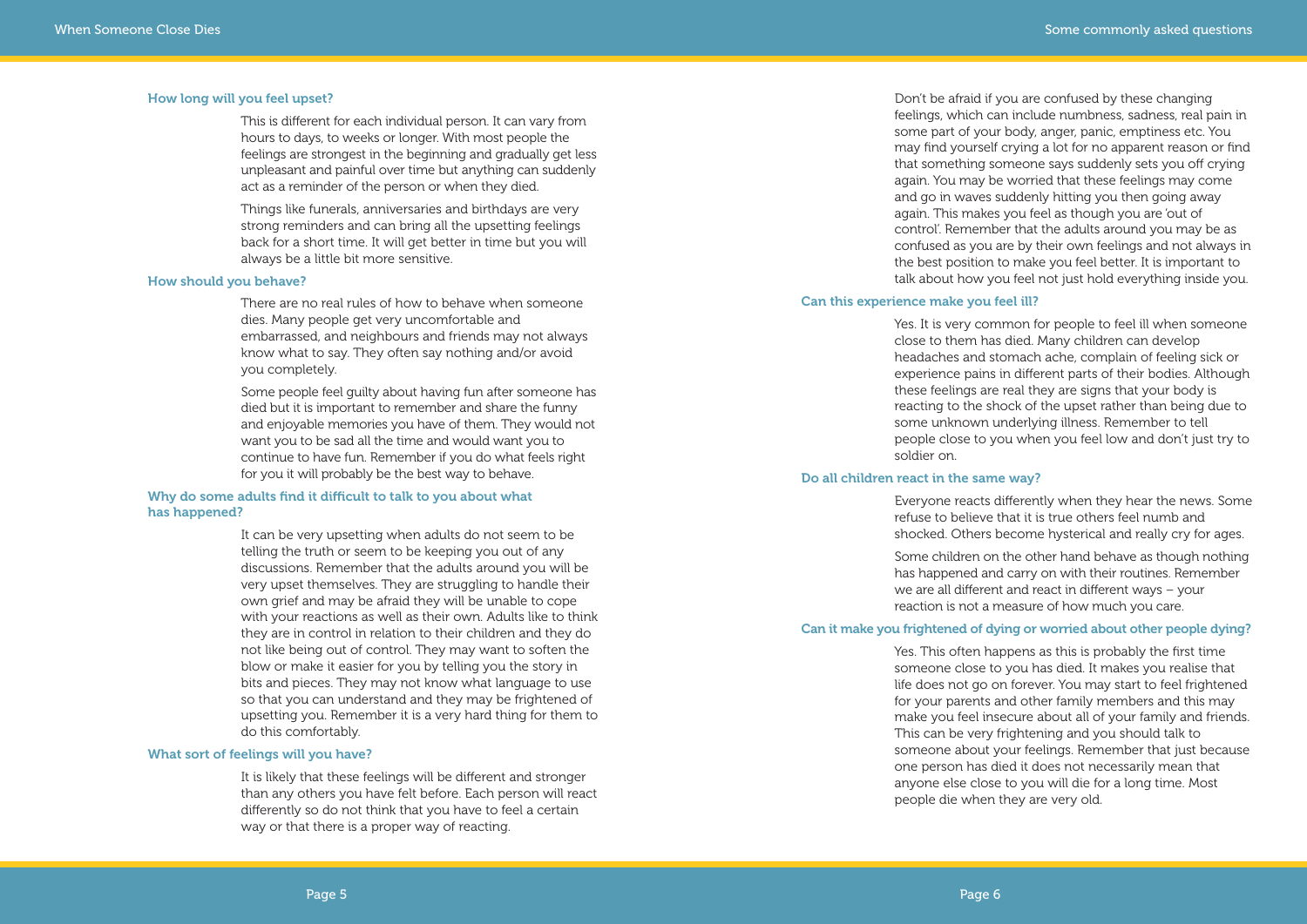Don't be afraid if you are confused by these changing feelings, which can include numbness, sadness, real pain in some part of your body, anger, panic, emptiness etc. You may find yourself crying a lot for no apparent reason or find that something someone says suddenly sets you off crying again. You may be worried that these feelings may come and go in waves suddenly hitting you then going away again. This makes you feel as though you are 'out of control'. Remember that the adults around you may be as confused as you are by their own feelings and not always in the best position to make you feel better. It is important to talk about how you feel not just hold everything inside you.

#### **Can this experience make you feel ill?**

Yes. It is very common for people to feel ill when someone close to them has died. Many children can develop headaches and stomach ache, complain of feeling sick or experience pains in different parts of their bodies. Although these feelings are real they are signs that your body is reacting to the shock of the upset rather than being due to some unknown underlying illness. Remember to tell people close to you when you feel low and don't just try to soldier on.

### **Do all children react in the same way?**

Everyone reacts differently when they hear the news. Some refuse to believe that it is true others feel numb and shocked. Others become hysterical and really cry for ages.

Some children on the other hand behave as though nothing has happened and carry on with their routines. Remember we are all different and react in different ways – your reaction is not a measure of how much you care.

#### **Can it make you frightened of dying or worried about other people dying?**

Yes. This often happens as this is probably the first time someone close to you has died. It makes you realise that life does not go on forever. You may start to feel frightened for your parents and other family members and this may make you feel insecure about all of your family and friends. This can be very frightening and you should talk to someone about your feelings. Remember that just because one person has died it does not necessarily mean that anyone else close to you will die for a long time. Most people die when they are very old.

#### **How long will you feel upset?**

This is different for each individual person. It can vary from hours to days, to weeks or longer. With most people the feelings are strongest in the beginning and gradually get less unpleasant and painful over time but anything can suddenly act as a reminder of the person or when they died.

Things like funerals, anniversaries and birthdays are very strong reminders and can bring all the upsetting feelings back for a short time. It will get better in time but you will always be a little bit more sensitive.

#### **How should you behave?**

There are no real rules of how to behave when someone dies. Many people get very uncomfortable and embarrassed, and neighbours and friends may not always know what to say. They often say nothing and/or avoid you completely.

Some people feel guilty about having fun after someone has died but it is important to remember and share the funny and enjoyable memories you have of them. They would not want you to be sad all the time and would want you to continue to have fun. Remember if you do what feels right for you it will probably be the best way to behave.

#### **Why do some adults find it difficult to talk to you about what has happened?**

It can be very upsetting when adults do not seem to be telling the truth or seem to be keeping you out of any discussions. Remember that the adults around you will be very upset themselves. They are struggling to handle their own grief and may be afraid they will be unable to cope with your reactions as well as their own. Adults like to think they are in control in relation to their children and they do not like being out of control. They may want to soften the blow or make it easier for you by telling you the story in bits and pieces. They may not know what language to use so that you can understand and they may be frightened of upsetting you. Remember it is a very hard thing for them to do this comfortably.

#### **What sort of feelings will you have?**

It is likely that these feelings will be different and stronger than any others you have felt before. Each person will react differently so do not think that you have to feel a certain way or that there is a proper way of reacting.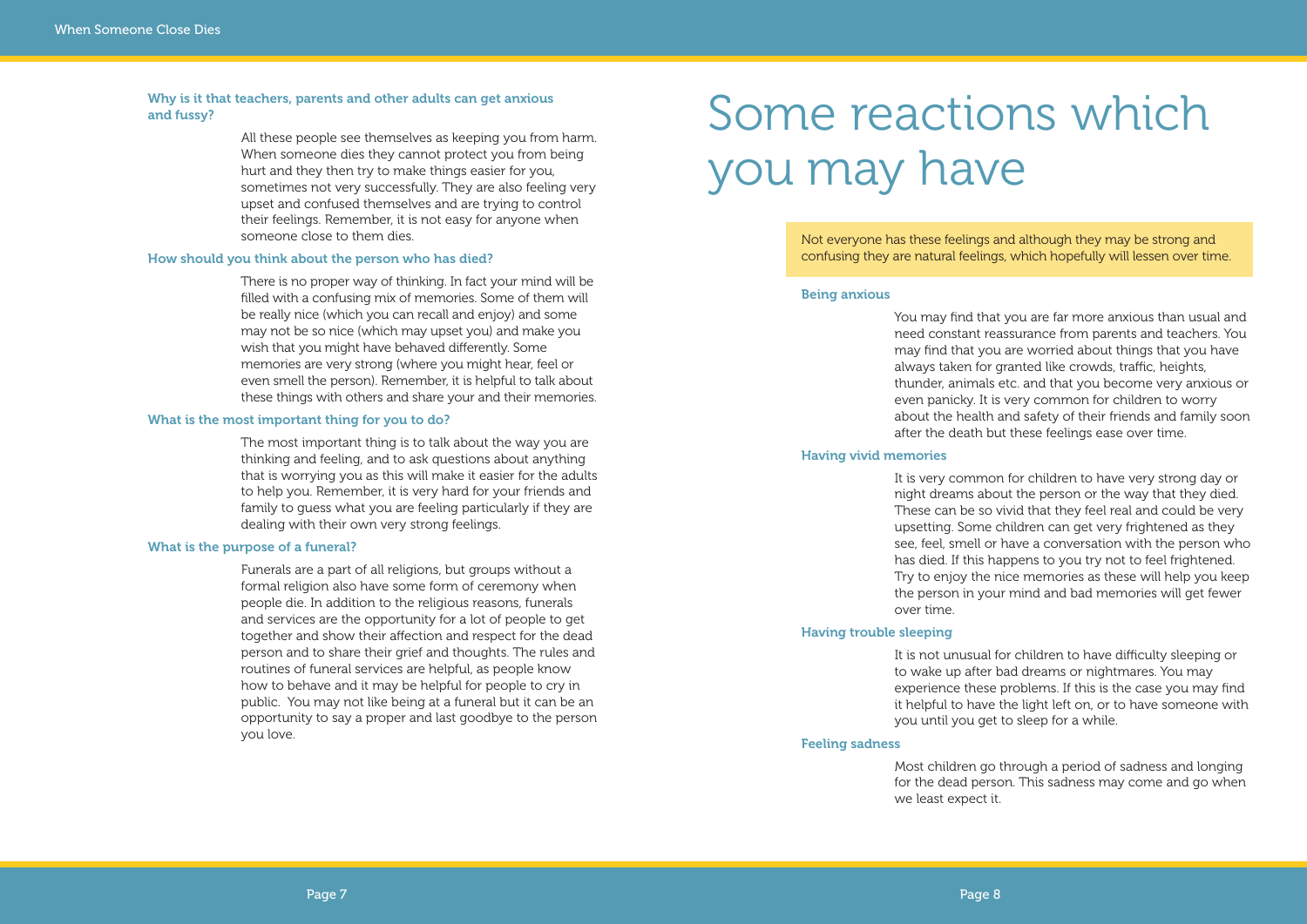Not everyone has these feelings and although they may be strong and confusing they are natural feelings, which hopefully will lessen over time.

#### **Being anxious**

You may find that you are far more anxious than usual and need constant reassurance from parents and teachers. You may find that you are worried about things that you have always taken for granted like crowds, traffic, heights, thunder, animals etc. and that you become very anxious or even panicky. It is very common for children to worry about the health and safety of their friends and family soon after the death but these feelings ease over time.

#### **Having vivid memories**

It is very common for children to have very strong day or night dreams about the person or the way that they died. These can be so vivid that they feel real and could be very upsetting. Some children can get very frightened as they see, feel, smell or have a conversation with the person who has died. If this happens to you try not to feel frightened. Try to enjoy the nice memories as these will help you keep the person in your mind and bad memories will get fewer

over time.

#### **Having trouble sleeping**

It is not unusual for children to have difficulty sleeping or to wake up after bad dreams or nightmares. You may experience these problems. If this is the case you may find it helpful to have the light left on, or to have someone with you until you get to sleep for a while.

#### **Feeling sadness**

Most children go through a period of sadness and longing for the dead person. This sadness may come and go when we least expect it.

## Some reactions which you may have

#### **Why is it that teachers, parents and other adults can get anxious and fussy?**

All these people see themselves as keeping you from harm. When someone dies they cannot protect you from being hurt and they then try to make things easier for you, sometimes not very successfully. They are also feeling very upset and confused themselves and are trying to control their feelings. Remember, it is not easy for anyone when someone close to them dies.

#### **How should you think about the person who has died?**

There is no proper way of thinking. In fact your mind will be filled with a confusing mix of memories. Some of them will be really nice (which you can recall and enjoy) and some may not be so nice (which may upset you) and make you wish that you might have behaved differently. Some memories are very strong (where you might hear, feel or even smell the person). Remember, it is helpful to talk about these things with others and share your and their memories.

#### **What is the most important thing for you to do?**

The most important thing is to talk about the way you are thinking and feeling, and to ask questions about anything that is worrying you as this will make it easier for the adults to help you. Remember, it is very hard for your friends and family to guess what you are feeling particularly if they are dealing with their own very strong feelings.

#### **What is the purpose of a funeral?**

Funerals are a part of all religions, but groups without a formal religion also have some form of ceremony when people die. In addition to the religious reasons, funerals and services are the opportunity for a lot of people to get together and show their affection and respect for the dead person and to share their grief and thoughts. The rules and routines of funeral services are helpful, as people know how to behave and it may be helpful for people to cry in public. You may not like being at a funeral but it can be an opportunity to say a proper and last goodbye to the person you love.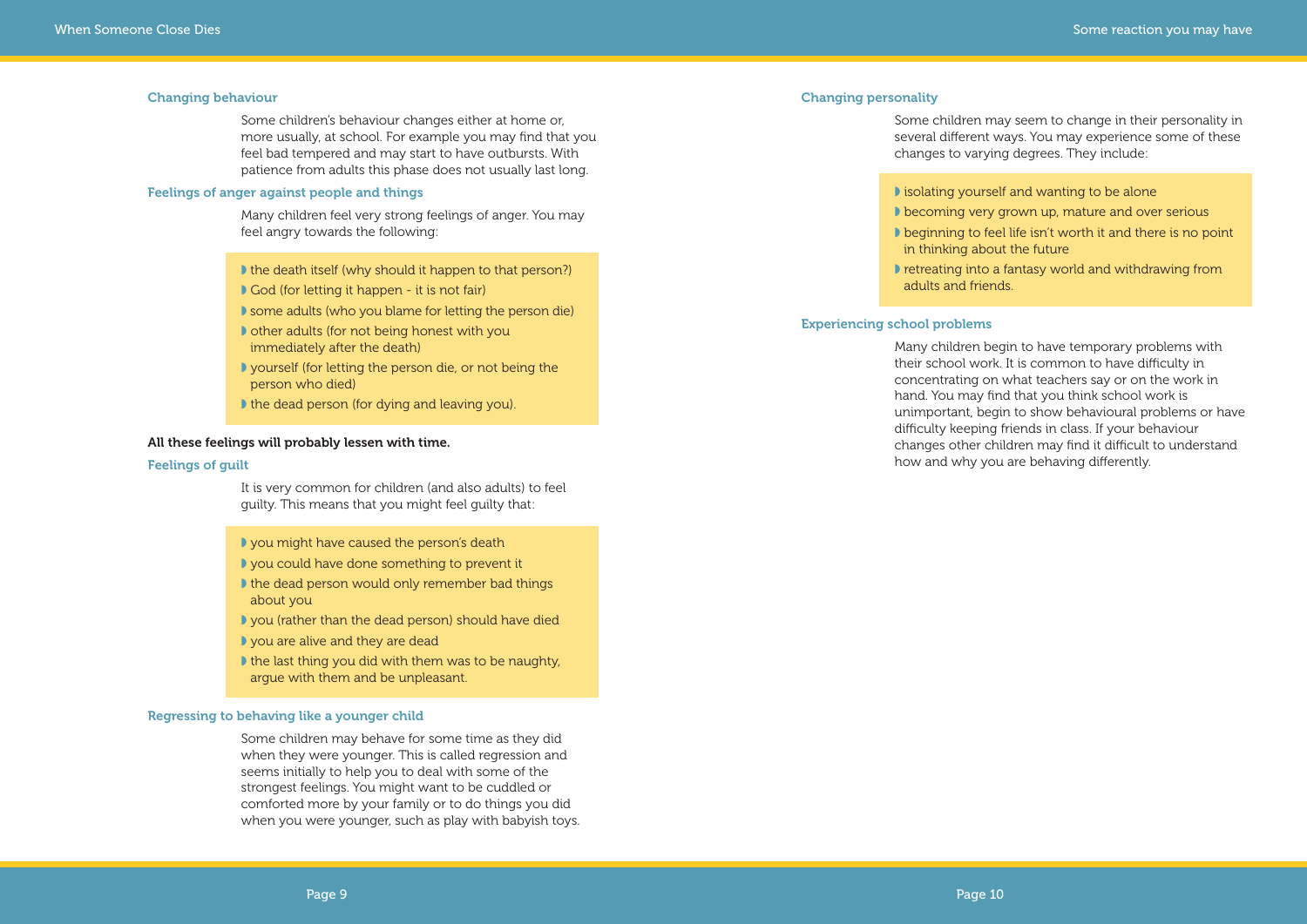#### **Changing personality**

Some children may seem to change in their personality in several different ways. You may experience some of these changes to varying degrees. They include:

◗ isolating yourself and wanting to be alone

- ◗ becoming very grown up, mature and over serious
- beginning to feel life isn't worth it and there is no point in thinking about the future
- ◗ retreating into a fantasy world and withdrawing from adults and friends.

#### **Experiencing school problems**

Many children begin to have temporary problems with their school work. It is common to have difficulty in concentrating on what teachers say or on the work in hand. You may find that you think school work is unimportant, begin to show behavioural problems or have difficulty keeping friends in class. If your behaviour changes other children may find it difficult to understand how and why you are behaving differently.

- I the death itself (why should it happen to that person?)
- God (for letting it happen it is not fair)
- ◗ some adults (who you blame for letting the person die)
- ◗ other adults (for not being honest with you immediately after the death)
- ◗ yourself (for letting the person die, or not being the person who died)
- ◗ the dead person (for dying and leaving you).

#### **Changing behaviour**

Some children's behaviour changes either at home or, more usually, at school. For example you may find that you feel bad tempered and may start to have outbursts. With patience from adults this phase does not usually last long.

#### **Feelings of anger against people and things**

Many children feel very strong feelings of anger. You may feel angry towards the following:

#### **All these feelings will probably lessen with time.**

#### **Feelings of guilt**

It is very common for children (and also adults) to feel guilty. This means that you might feel guilty that:

- ◗ you might have caused the person's death
- ◗ you could have done something to prevent it
- ◗ the dead person would only remember bad things about you
- ◗ you (rather than the dead person) should have died
- ◗ you are alive and they are dead
- ◗ the last thing you did with them was to be naughty, argue with them and be unpleasant.

#### **Regressing to behaving like a younger child**

Some children may behave for some time as they did when they were younger. This is called regression and seems initially to help you to deal with some of the strongest feelings. You might want to be cuddled or comforted more by your family or to do things you did when you were younger, such as play with babyish toys.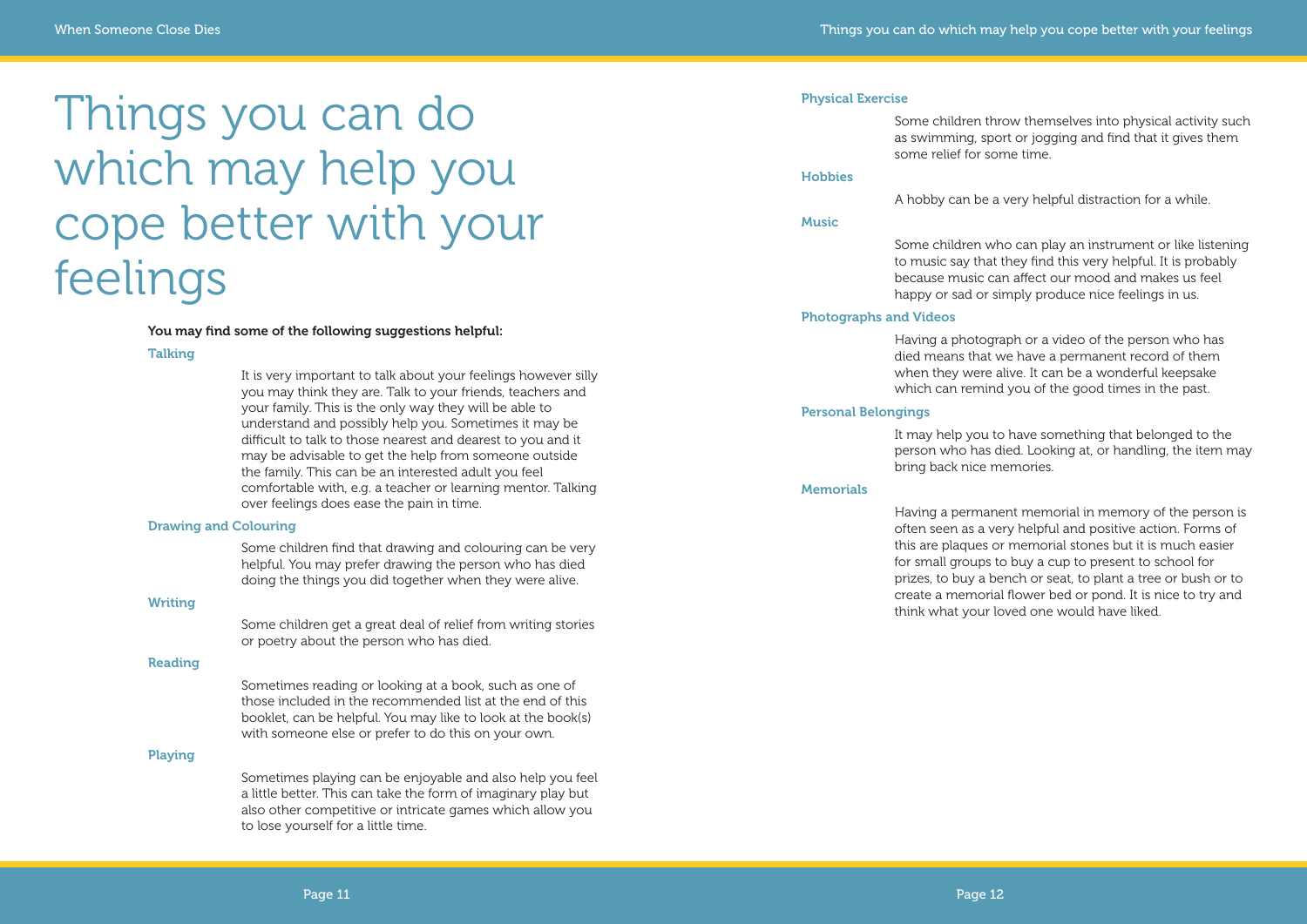#### **Physical Exercise**

Some children throw themselves into physical activity such as swimming, sport or jogging and find that it gives them

## some relief for some time.

#### **Hobbies**

A hobby can be a very helpful distraction for a while.

#### **Music**

Some children who can play an instrument or like listening to music say that they find this very helpful. It is probably because music can affect our mood and makes us feel happy or sad or simply produce nice feelings in us.

#### **Photographs and Videos**

Having a photograph or a video of the person who has died means that we have a permanent record of them when they were alive. It can be a wonderful keepsake which can remind you of the good times in the past.

#### **Personal Belongings**

It may help you to have something that belonged to the person who has died. Looking at, or handling, the item may bring back nice memories.

#### **Memorials**

Having a permanent memorial in memory of the person is often seen as a very helpful and positive action. Forms of this are plaques or memorial stones but it is much easier for small groups to buy a cup to present to school for prizes, to buy a bench or seat, to plant a tree or bush or to create a memorial flower bed or pond. It is nice to try and think what your loved one would have liked.

# Things you can do which may help you cope better with your feelings

#### **You may find some of the following suggestions helpful:**

#### **Talking**

It is very important to talk about your feelings however silly you may think they are. Talk to your friends, teachers and your family. This is the only way they will be able to understand and possibly help you. Sometimes it may be difficult to talk to those nearest and dearest to you and it may be advisable to get the help from someone outside the family. This can be an interested adult you feel comfortable with, e.g. a teacher or learning mentor. Talking over feelings does ease the pain in time.

#### **Drawing and Colouring**

Some children find that drawing and colouring can be very helpful. You may prefer drawing the person who has died doing the things you did together when they were alive.

#### **Writing**

Some children get a great deal of relief from writing stories or poetry about the person who has died.

#### **Reading**

Sometimes reading or looking at a book, such as one of those included in the recommended list at the end of this booklet, can be helpful. You may like to look at the book(s) with someone else or prefer to do this on your own.

#### **Playing**

Sometimes playing can be enjoyable and also help you feel a little better. This can take the form of imaginary play but also other competitive or intricate games which allow you to lose yourself for a little time.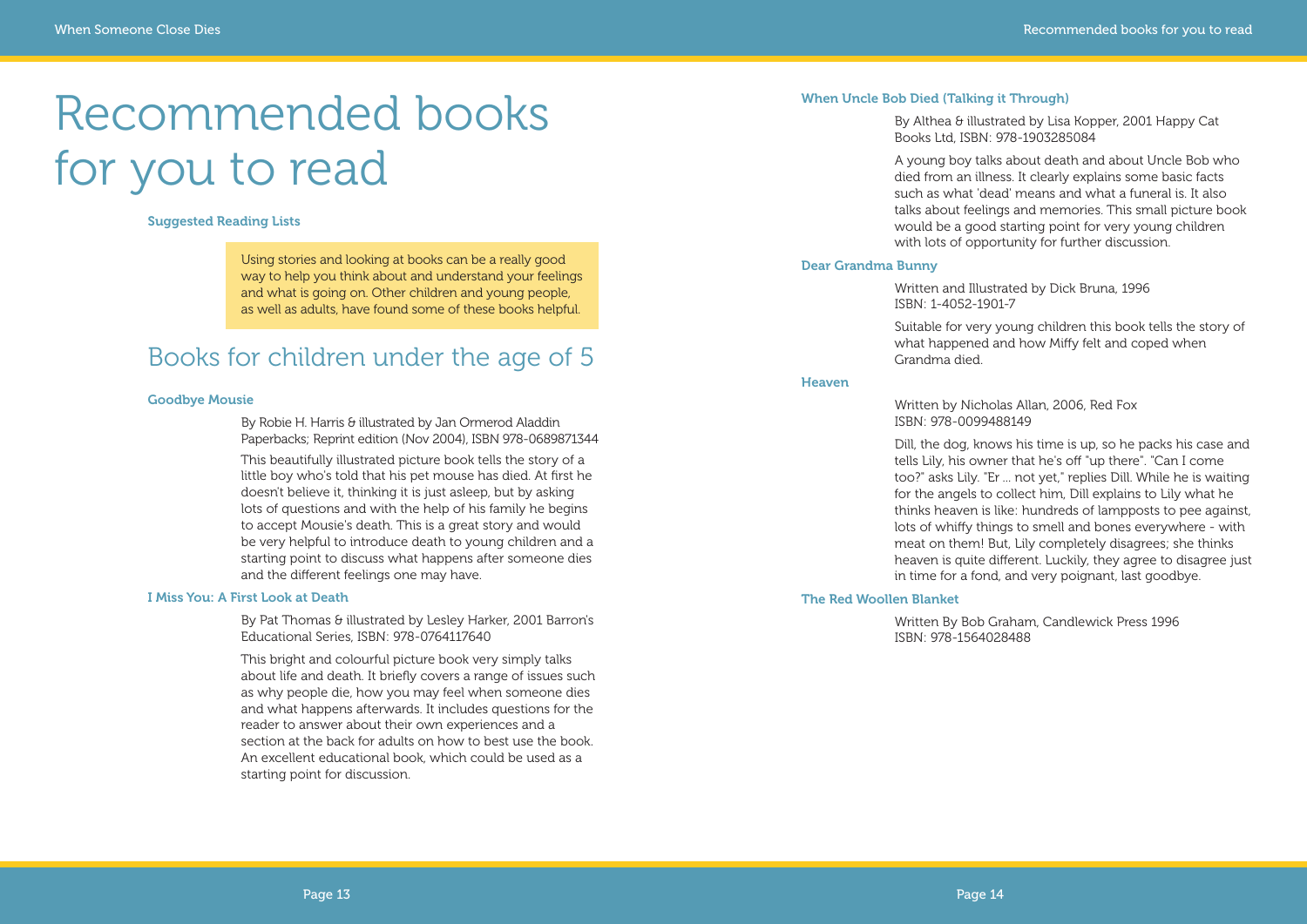#### **When Uncle Bob Died (Talking it Through)**

By Althea & illustrated by Lisa Kopper, 2001 Happy Cat Books Ltd, ISBN: 978-1903285084

A young boy talks about death and about Uncle Bob who died from an illness. It clearly explains some basic facts such as what 'dead' means and what a funeral is. It also talks about feelings and memories. This small picture book would be a good starting point for very young children with lots of opportunity for further discussion.

#### **Dear Grandma Bunny**

Written and Illustrated by Dick Bruna, 1996 ISBN: 1-4052-1901-7

Suitable for very young children this book tells the story of what happened and how Miffy felt and coped when Grandma died.

#### **Heaven**

Written by Nicholas Allan, 2006, Red Fox ISBN: 978-0099488149

By Robie H. Harris & illustrated by Jan Ormerod Aladdin Paperbacks; Reprint edition (Nov 2004), ISBN 978-0689871344

Dill, the dog, knows his time is up, so he packs his case and tells Lily, his owner that he's off "up there". "Can I come too?" asks Lily. "Er ... not yet," replies Dill. While he is waiting for the angels to collect him, Dill explains to Lily what he thinks heaven is like: hundreds of lampposts to pee against, lots of whiffy things to smell and bones everywhere - with meat on them! But, Lily completely disagrees; she thinks heaven is quite different. Luckily, they agree to disagree just in time for a fond, and very poignant, last goodbye.

By Pat Thomas & illustrated by Lesley Harker, 2001 Barron's Educational Series, ISBN: 978-0764117640

#### **The Red Woollen Blanket**

Written By Bob Graham, Candlewick Press 1996 ISBN: 978-1564028488

## Recommended books for you to read

**Suggested Reading Lists**

Using stories and looking at books can be a really good way to help you think about and understand your feelings and what is going on. Other children and young people, as well as adults, have found some of these books helpful.

### Books for children under the age of 5

#### **Goodbye Mousie**

This beautifully illustrated picture book tells the story of a little boy who's told that his pet mouse has died. At first he doesn't believe it, thinking it is just asleep, but by asking lots of questions and with the help of his family he begins to accept Mousie's death. This is a great story and would be very helpful to introduce death to young children and a starting point to discuss what happens after someone dies and the different feelings one may have.

#### **I Miss You: A First Look at Death**

This bright and colourful picture book very simply talks about life and death. It briefly covers a range of issues such as why people die, how you may feel when someone dies and what happens afterwards. It includes questions for the reader to answer about their own experiences and a section at the back for adults on how to best use the book. An excellent educational book, which could be used as a starting point for discussion.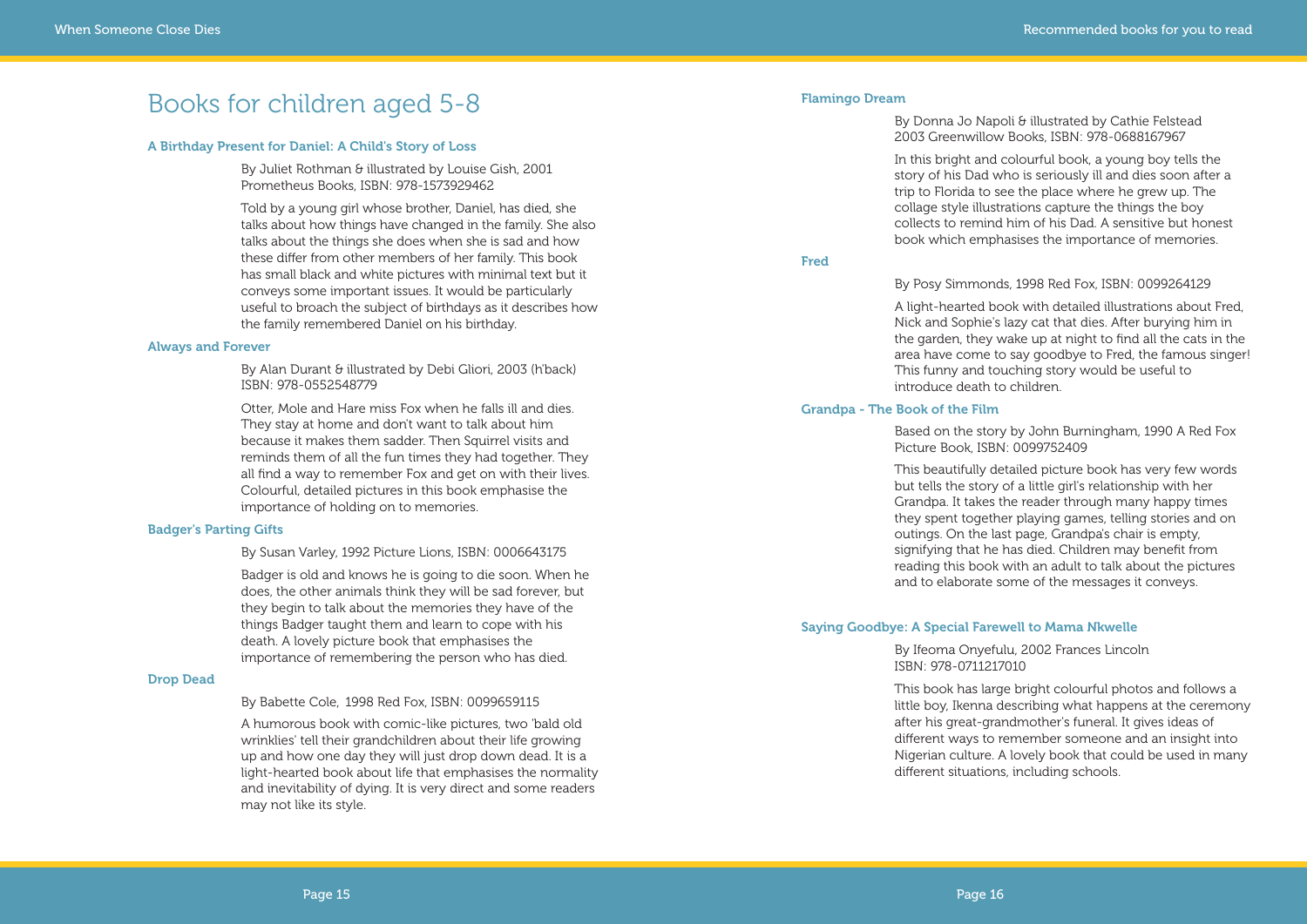#### **Flamingo Dream**

By Donna Jo Napoli & illustrated by Cathie Felstead 2003 Greenwillow Books, ISBN: 978-0688167967

In this bright and colourful book, a young boy tells the story of his Dad who is seriously ill and dies soon after a trip to Florida to see the place where he grew up. The collage style illustrations capture the things the boy collects to remind him of his Dad. A sensitive but honest book which emphasises the importance of memories.

#### **Fred**

#### By Posy Simmonds, 1998 Red Fox, ISBN: 0099264129

A light-hearted book with detailed illustrations about Fred, Nick and Sophie's lazy cat that dies. After burying him in the garden, they wake up at night to find all the cats in the area have come to say goodbye to Fred, the famous singer! This funny and touching story would be useful to introduce death to children.

#### **Grandpa - The Book of the Film**

Based on the story by John Burningham, 1990 A Red Fox Picture Book, ISBN: 0099752409

By Juliet Rothman & illustrated by Louise Gish, 2001 Prometheus Books, ISBN: 978-1573929462

> This beautifully detailed picture book has very few words but tells the story of a little girl's relationship with her Grandpa. It takes the reader through many happy times they spent together playing games, telling stories and on outings. On the last page, Grandpa's chair is empty, signifying that he has died. Children may benefit from reading this book with an adult to talk about the pictures and to elaborate some of the messages it conveys.

#### **Saying Goodbye: A Special Farewell to Mama Nkwelle**

By Ifeoma Onyefulu, 2002 Frances Lincoln ISBN: 978-0711217010

This book has large bright colourful photos and follows a little boy, Ikenna describing what happens at the ceremony after his great-grandmother's funeral. It gives ideas of different ways to remember someone and an insight into Nigerian culture. A lovely book that could be used in many different situations, including schools.

### Books for children aged 5-8

#### **A Birthday Present for Daniel: A Child's Story of Loss**

Told by a young girl whose brother, Daniel, has died, she talks about how things have changed in the family. She also talks about the things she does when she is sad and how these differ from other members of her family. This book has small black and white pictures with minimal text but it conveys some important issues. It would be particularly useful to broach the subject of birthdays as it describes how the family remembered Daniel on his birthday.

#### **Always and Forever**

By Alan Durant & illustrated by Debi Gliori, 2003 (h'back) ISBN: 978-0552548779

Otter, Mole and Hare miss Fox when he falls ill and dies. They stay at home and don't want to talk about him because it makes them sadder. Then Squirrel visits and reminds them of all the fun times they had together. They all find a way to remember Fox and get on with their lives. Colourful, detailed pictures in this book emphasise the importance of holding on to memories.

#### **Badger's Parting Gifts**

By Susan Varley, 1992 Picture Lions, ISBN: 0006643175

Badger is old and knows he is going to die soon. When he does, the other animals think they will be sad forever, but they begin to talk about the memories they have of the things Badger taught them and learn to cope with his death. A lovely picture book that emphasises the importance of remembering the person who has died.

#### **Drop Dead**

By Babette Cole, 1998 Red Fox, ISBN: 0099659115

A humorous book with comic-like pictures, two 'bald old wrinklies' tell their grandchildren about their life growing up and how one day they will just drop down dead. It is a light-hearted book about life that emphasises the normality and inevitability of dying. It is very direct and some readers may not like its style.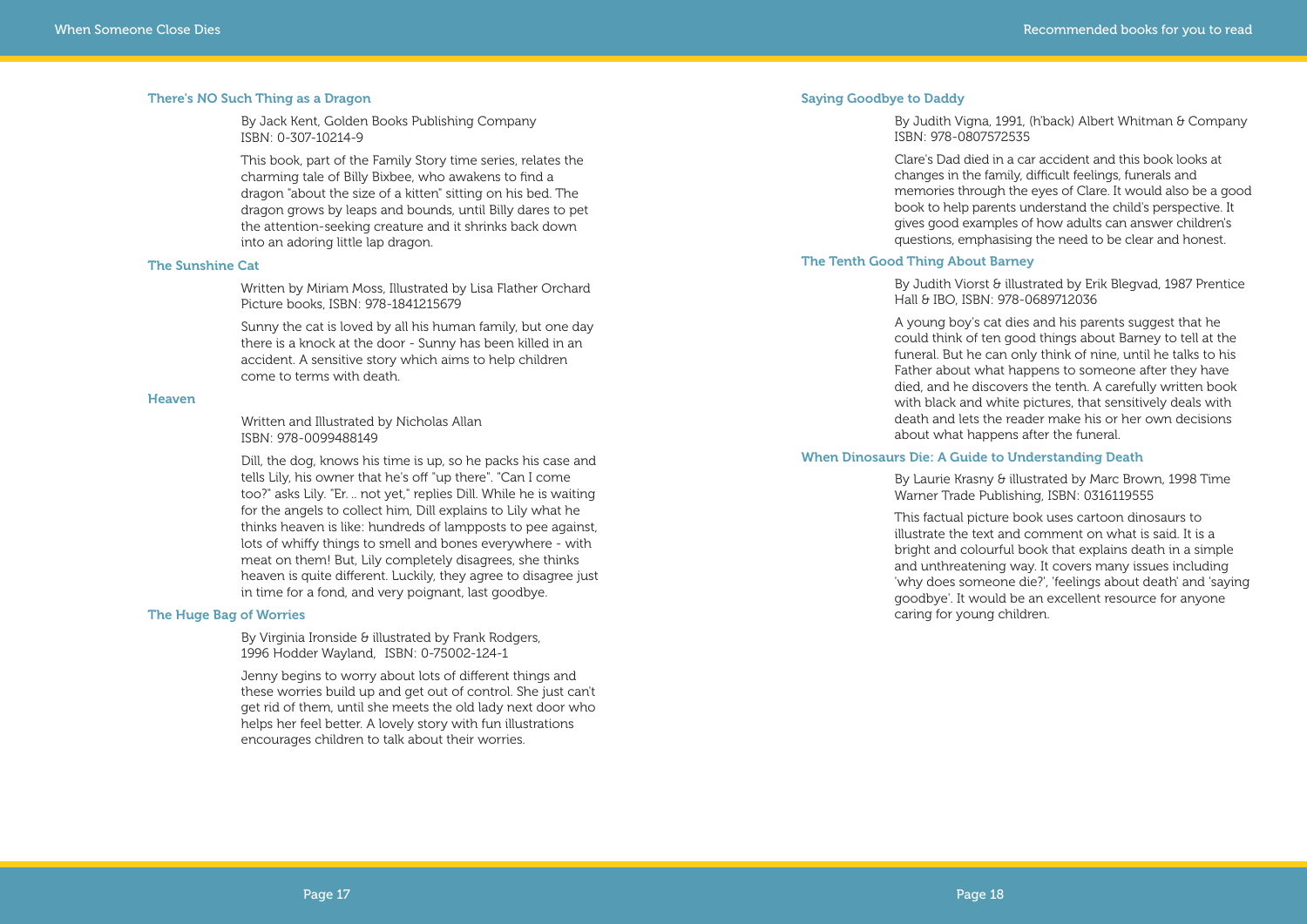#### **Saying Goodbye to Daddy**

By Judith Vigna, 1991, (h'back) Albert Whitman & Company ISBN: 978-0807572535

By Judith Viorst & illustrated by Erik Blegvad, 1987 Prentice Hall & IBO, ISBN: 978-0689712036

Clare's Dad died in a car accident and this book looks at changes in the family, difficult feelings, funerals and memories through the eyes of Clare. It would also be a good book to help parents understand the child's perspective. It gives good examples of how adults can answer children's questions, emphasising the need to be clear and honest.

#### **The Tenth Good Thing About Barney**

A young boy's cat dies and his parents suggest that he could think of ten good things about Barney to tell at the funeral. But he can only think of nine, until he talks to his Father about what happens to someone after they have died, and he discovers the tenth. A carefully written book with black and white pictures, that sensitively deals with death and lets the reader make his or her own decisions about what happens after the funeral.

#### **When Dinosaurs Die: A Guide to Understanding Death**

By Laurie Krasny & illustrated by Marc Brown, 1998 Time Warner Trade Publishing, ISBN: 0316119555

This factual picture book uses cartoon dinosaurs to illustrate the text and comment on what is said. It is a bright and colourful book that explains death in a simple and unthreatening way. It covers many issues including 'why does someone die?', 'feelings about death' and 'saying goodbye'. It would be an excellent resource for anyone caring for young children.

By Virginia Ironside & illustrated by Frank Rodgers, 1996 Hodder Wayland, ISBN: 0-75002-124-1

#### **There's NO Such Thing as a Dragon**

By Jack Kent, Golden Books Publishing Company ISBN: 0-307-10214-9

This book, part of the Family Story time series, relates the charming tale of Billy Bixbee, who awakens to find a dragon "about the size of a kitten" sitting on his bed. The dragon grows by leaps and bounds, until Billy dares to pet the attention-seeking creature and it shrinks back down into an adoring little lap dragon.

#### **The Sunshine Cat**

Written by Miriam Moss, Illustrated by Lisa Flather Orchard Picture books, ISBN: 978-1841215679

Sunny the cat is loved by all his human family, but one day there is a knock at the door - Sunny has been killed in an accident. A sensitive story which aims to help children come to terms with death.

#### **Heaven**

Written and Illustrated by Nicholas Allan ISBN: 978-0099488149

Dill, the dog, knows his time is up, so he packs his case and tells Lily, his owner that he's off "up there". "Can I come too?" asks Lily. "Er. .. not yet," replies Dill. While he is waiting for the angels to collect him, Dill explains to Lily what he thinks heaven is like: hundreds of lampposts to pee against, lots of whiffy things to smell and bones everywhere - with meat on them! But, Lily completely disagrees, she thinks heaven is quite different. Luckily, they agree to disagree just in time for a fond, and very poignant, last goodbye.

#### **The Huge Bag of Worries**

Jenny begins to worry about lots of different things and these worries build up and get out of control. She just can't get rid of them, until she meets the old lady next door who helps her feel better. A lovely story with fun illustrations encourages children to talk about their worries.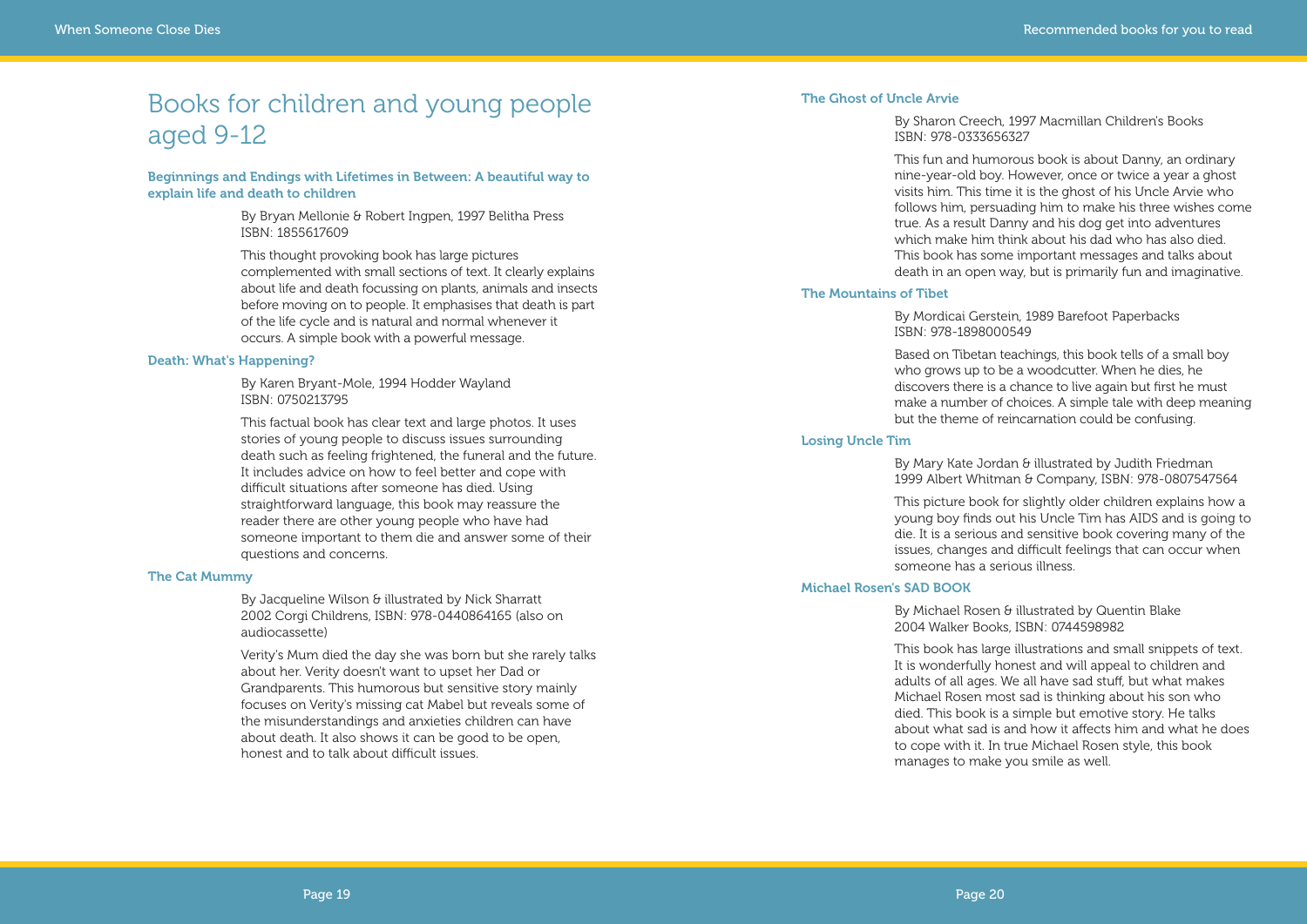#### **The Ghost of Uncle Arvie**

By Sharon Creech, 1997 Macmillan Children's Books ISBN: 978-0333656327

This fun and humorous book is about Danny, an ordinary nine-year-old boy. However, once or twice a year a ghost visits him. This time it is the ghost of his Uncle Arvie who follows him, persuading him to make his three wishes come true. As a result Danny and his dog get into adventures which make him think about his dad who has also died. This book has some important messages and talks about death in an open way, but is primarily fun and imaginative.

By Mary Kate Jordan & illustrated by Judith Friedman 1999 Albert Whitman & Company, ISBN: 978-0807547564

#### **The Mountains of Tibet**

By Mordicai Gerstein, 1989 Barefoot Paperbacks ISBN: 978-1898000549

By Michael Rosen & illustrated by Quentin Blake 2004 Walker Books, ISBN: 0744598982

Based on Tibetan teachings, this book tells of a small boy who grows up to be a woodcutter. When he dies, he discovers there is a chance to live again but first he must make a number of choices. A simple tale with deep meaning but the theme of reincarnation could be confusing.

#### **Losing Uncle Tim**

This picture book for slightly older children explains how a young boy finds out his Uncle Tim has AIDS and is going to die. It is a serious and sensitive book covering many of the issues, changes and difficult feelings that can occur when someone has a serious illness.

#### **Michael Rosen's SAD BOOK**

By Jacqueline Wilson & illustrated by Nick Sharratt 2002 Corgi Childrens, ISBN: 978-0440864165 (also on audiocassette)

> This book has large illustrations and small snippets of text. It is wonderfully honest and will appeal to children and adults of all ages. We all have sad stuff, but what makes Michael Rosen most sad is thinking about his son who died. This book is a simple but emotive story. He talks about what sad is and how it affects him and what he does to cope with it. In true Michael Rosen style, this book manages to make you smile as well.

### Books for children and young people aged 9-12

**Beginnings and Endings with Lifetimes in Between: A beautiful way to explain life and death to children**

> By Bryan Mellonie & Robert Ingpen, 1997 Belitha Press ISBN: 1855617609

This thought provoking book has large pictures complemented with small sections of text. It clearly explains about life and death focussing on plants, animals and insects before moving on to people. It emphasises that death is part of the life cycle and is natural and normal whenever it occurs. A simple book with a powerful message.

#### **Death: What's Happening?**

By Karen Bryant-Mole, 1994 Hodder Wayland ISBN: 0750213795

This factual book has clear text and large photos. It uses stories of young people to discuss issues surrounding death such as feeling frightened, the funeral and the future. It includes advice on how to feel better and cope with difficult situations after someone has died. Using straightforward language, this book may reassure the reader there are other young people who have had someone important to them die and answer some of their questions and concerns.

#### **The Cat Mummy**

Verity's Mum died the day she was born but she rarely talks about her. Verity doesn't want to upset her Dad or Grandparents. This humorous but sensitive story mainly focuses on Verity's missing cat Mabel but reveals some of the misunderstandings and anxieties children can have about death. It also shows it can be good to be open, honest and to talk about difficult issues.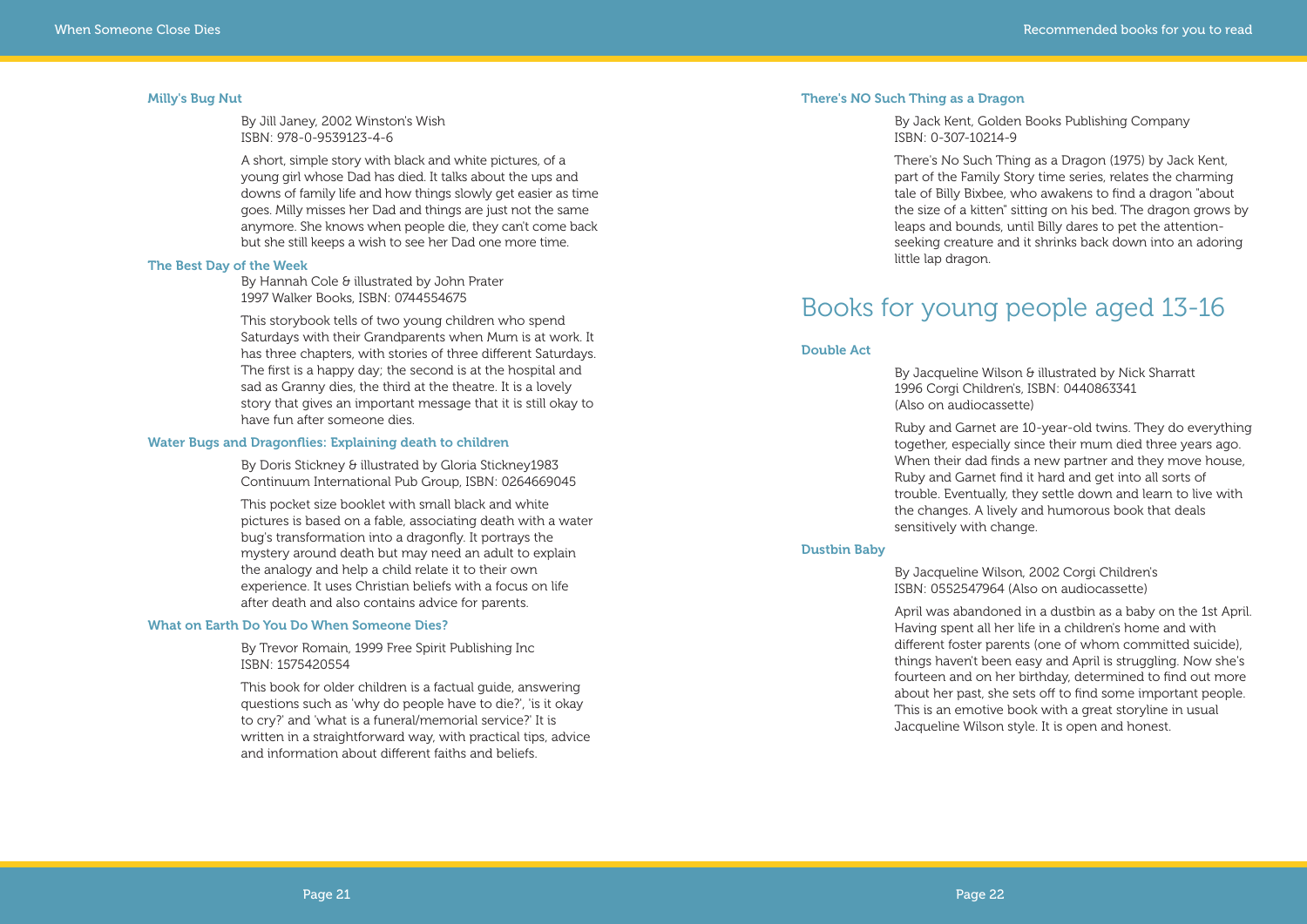#### **There's NO Such Thing as a Dragon**

By Jack Kent, Golden Books Publishing Company ISBN: 0-307-10214-9

By Jacqueline Wilson & illustrated by Nick Sharratt 1996 Corgi Children's, ISBN: 0440863341 (Also on audiocassette)

There's No Such Thing as a Dragon (1975) by Jack Kent, part of the Family Story time series, relates the charming tale of Billy Bixbee, who awakens to find a dragon "about the size of a kitten" sitting on his bed. The dragon grows by leaps and bounds, until Billy dares to pet the attentionseeking creature and it shrinks back down into an adoring little lap dragon.

### Books for young people aged 13-16

#### **Double Act**

Ruby and Garnet are 10-year-old twins. They do everything together, especially since their mum died three years ago. When their dad finds a new partner and they move house, Ruby and Garnet find it hard and get into all sorts of trouble. Eventually, they settle down and learn to live with the changes. A lively and humorous book that deals sensitively with change.

#### **Dustbin Baby**

By Jacqueline Wilson, 2002 Corgi Children's ISBN: 0552547964 (Also on audiocassette)

By Doris Stickney & illustrated by Gloria Stickney1983 Continuum International Pub Group, ISBN: 0264669045

> April was abandoned in a dustbin as a baby on the 1st April. Having spent all her life in a children's home and with different foster parents (one of whom committed suicide), things haven't been easy and April is struggling. Now she's fourteen and on her birthday, determined to find out more about her past, she sets off to find some important people. This is an emotive book with a great storyline in usual Jacqueline Wilson style. It is open and honest.

#### **Milly's Bug Nut**

By Jill Janey, 2002 Winston's Wish ISBN: 978-0-9539123-4-6

A short, simple story with black and white pictures, of a young girl whose Dad has died. It talks about the ups and downs of family life and how things slowly get easier as time goes. Milly misses her Dad and things are just not the same anymore. She knows when people die, they can't come back but she still keeps a wish to see her Dad one more time.

#### **The Best Day of the Week**

By Hannah Cole & illustrated by John Prater 1997 Walker Books, ISBN: 0744554675

This storybook tells of two young children who spend Saturdays with their Grandparents when Mum is at work. It has three chapters, with stories of three different Saturdays. The first is a happy day; the second is at the hospital and sad as Granny dies, the third at the theatre. It is a lovely story that gives an important message that it is still okay to have fun after someone dies.

#### **Water Bugs and Dragonflies: Explaining death to children**

This pocket size booklet with small black and white pictures is based on a fable, associating death with a water bug's transformation into a dragonfly. It portrays the mystery around death but may need an adult to explain the analogy and help a child relate it to their own experience. It uses Christian beliefs with a focus on life after death and also contains advice for parents.

#### **What on Earth Do You Do When Someone Dies?**

By Trevor Romain, 1999 Free Spirit Publishing Inc ISBN: 1575420554

This book for older children is a factual guide, answering questions such as 'why do people have to die?', 'is it okay to cry?' and 'what is a funeral/memorial service?' It is written in a straightforward way, with practical tips, advice and information about different faiths and beliefs.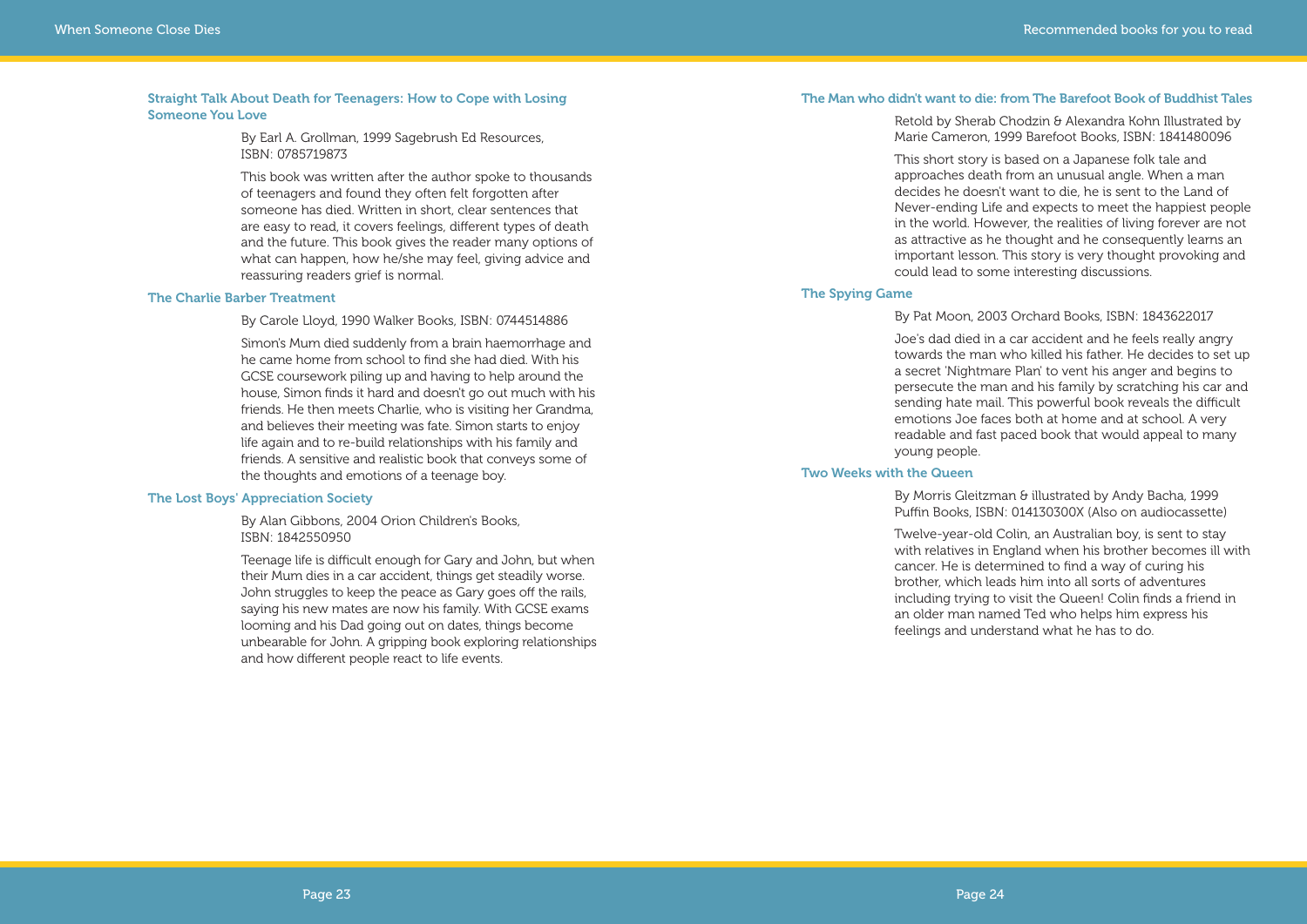#### **The Man who didn't want to die: from The Barefoot Book of Buddhist Tales**

Retold by Sherab Chodzin & Alexandra Kohn Illustrated by Marie Cameron, 1999 Barefoot Books, ISBN: 1841480096

This short story is based on a Japanese folk tale and approaches death from an unusual angle. When a man decides he doesn't want to die, he is sent to the Land of Never-ending Life and expects to meet the happiest people in the world. However, the realities of living forever are not as attractive as he thought and he consequently learns an important lesson. This story is very thought provoking and could lead to some interesting discussions.

#### By Morris Gleitzman & illustrated by Andy Bacha, 1999 Puffin Books, ISBN: 014130300X (Also on audiocassette)

#### **The Spying Game**

#### By Pat Moon, 2003 Orchard Books, ISBN: 1843622017

Joe's dad died in a car accident and he feels really angry towards the man who killed his father. He decides to set up a secret 'Nightmare Plan' to vent his anger and begins to persecute the man and his family by scratching his car and sending hate mail. This powerful book reveals the difficult emotions Joe faces both at home and at school. A very readable and fast paced book that would appeal to many young people.

#### **Two Weeks with the Queen**

Twelve-year-old Colin, an Australian boy, is sent to stay with relatives in England when his brother becomes ill with cancer. He is determined to find a way of curing his brother, which leads him into all sorts of adventures including trying to visit the Queen! Colin finds a friend in an older man named Ted who helps him express his feelings and understand what he has to do.

#### **Straight Talk About Death for Teenagers: How to Cope with Losing Someone You Love**

By Earl A. Grollman, 1999 Sagebrush Ed Resources, ISBN: 0785719873

This book was written after the author spoke to thousands of teenagers and found they often felt forgotten after someone has died. Written in short, clear sentences that are easy to read, it covers feelings, different types of death and the future. This book gives the reader many options of what can happen, how he/she may feel, giving advice and reassuring readers grief is normal.

#### **The Charlie Barber Treatment**

By Carole Lloyd, 1990 Walker Books, ISBN: 0744514886

Simon's Mum died suddenly from a brain haemorrhage and he came home from school to find she had died. With his GCSE coursework piling up and having to help around the house, Simon finds it hard and doesn't go out much with his friends. He then meets Charlie, who is visiting her Grandma, and believes their meeting was fate. Simon starts to enjoy life again and to re-build relationships with his family and friends. A sensitive and realistic book that conveys some of the thoughts and emotions of a teenage boy.

#### **The Lost Boys' Appreciation Society**

By Alan Gibbons, 2004 Orion Children's Books, ISBN: 1842550950

Teenage life is difficult enough for Gary and John, but when their Mum dies in a car accident, things get steadily worse. John struggles to keep the peace as Gary goes off the rails, saying his new mates are now his family. With GCSE exams looming and his Dad going out on dates, things become unbearable for John. A gripping book exploring relationships and how different people react to life events.